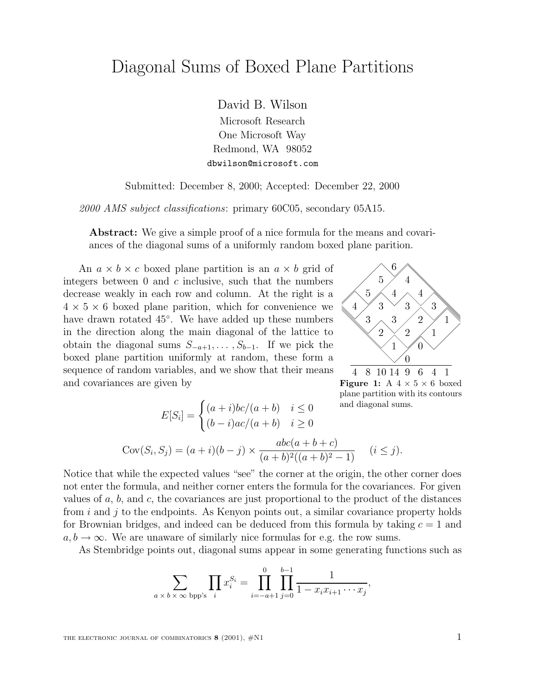## Diagonal Sums of Boxed Plane Partitions

David B. Wilson

Microsoft Research One Microsoft Way Redmond, WA 98052 dbwilson@microsoft.com

Submitted: December 8, 2000; Accepted: December 22, 2000

2000 AMS subject classifications: primary 60C05, secondary 05A15.

**Abstract:** We give a simple proof of a nice formula for the means and covariances of the diagonal sums of a uniformly random boxed plane parition.

An  $a \times b \times c$  boxed plane partition is an  $a \times b$  grid of integers between  $0$  and  $c$  inclusive, such that the numbers decrease weakly in each row and column. At the right is a  $4 \times 5 \times 6$  boxed plane parition, which for convenience we have drawn rotated 45◦. We have added up these numbers in the direction along the main diagonal of the lattice to obtain the diagonal sums  $S_{-a+1}, \ldots, S_{b-1}$ . If we pick the boxed plane partition uniformly at random, these form a sequence of random variables, and we show that their means and covariances are given by



**Figure 1:** A  $4 \times 5 \times 6$  boxed plane partition with its contours and diagonal sums.

$$
E[S_i] = \begin{cases} (a+i)bc/(a+b) & i \le 0 \\ (b-i)ac/(a+b) & i \ge 0 \end{cases} \text{ and diagonal su}
$$
\n
$$
\text{Cov}(S_i, S_j) = (a+i)(b-j) \times \frac{abc(a+b+c)}{(a+b)^2((a+b)^2-1)} \quad (i \le j)
$$

Notice that while the expected values "see" the corner at the origin, the other corner does not enter the formula, and neither corner enters the formula for the covariances. For given values of  $a, b$ , and  $c$ , the covariances are just proportional to the product of the distances from  $i$  and  $j$  to the endpoints. As Kenyon points out, a similar covariance property holds for Brownian bridges, and indeed can be deduced from this formula by taking  $c = 1$  and  $a, b \rightarrow \infty$ . We are unaware of similarly nice formulas for e.g. the row sums.

As Stembridge points out, diagonal sums appear in some generating functions such as

$$
\sum_{a \, \times \, b \, \times \, \infty \, \text{bpp's}} \prod_i x_i^{S_i} = \prod_{i=-a+1}^0 \prod_{j=0}^{b-1} \frac{1}{1 - x_i x_{i+1} \cdots x_j},
$$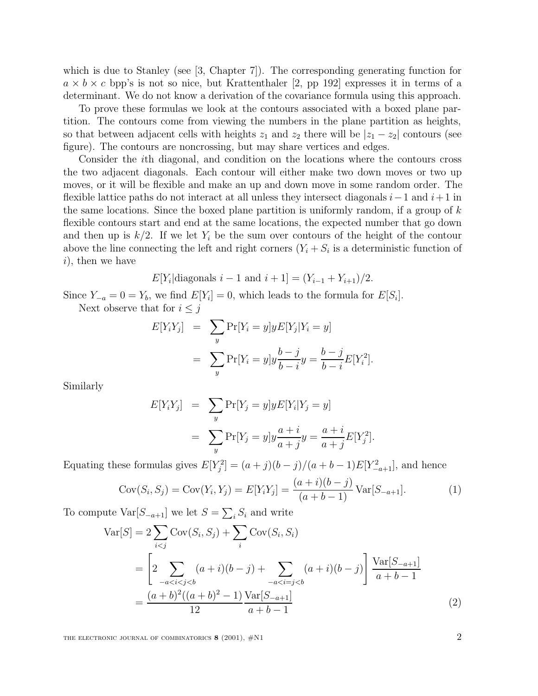which is due to Stanley (see [3, Chapter 7]). The corresponding generating function for  $a \times b \times c$  bpp's is not so nice, but Krattenthaler [2, pp 192] expresses it in terms of a determinant. We do not know a derivation of the covariance formula using this approach.

To prove these formulas we look at the contours associated with a boxed plane partition. The contours come from viewing the numbers in the plane partition as heights, so that between adjacent cells with heights  $z_1$  and  $z_2$  there will be  $|z_1 - z_2|$  contours (see figure). The contours are noncrossing, but may share vertices and edges.

Consider the ith diagonal, and condition on the locations where the contours cross the two adjacent diagonals. Each contour will either make two down moves or two up moves, or it will be flexible and make an up and down move in some random order. The flexible lattice paths do not interact at all unless they intersect diagonals  $i-1$  and  $i+1$  in the same locations. Since the boxed plane partition is uniformly random, if a group of  $k$ flexible contours start and end at the same locations, the expected number that go down and then up is  $k/2$ . If we let  $Y_i$  be the sum over contours of the height of the contour above the line connecting the left and right corners  $(Y_i + S_i)$  is a deterministic function of  $i$ , then we have

 $E[Y_i|{\text{diagonals}}\ i-1{\text{ and }}i+1] = (Y_{i-1} + Y_{i+1})/2.$ 

Since  $Y_{-a} = 0 = Y_b$ , we find  $E[Y_i] = 0$ , which leads to the formula for  $E[S_i]$ .

Next observe that for  $i \leq j$ 

$$
E[Y_iY_j] = \sum_{y} \Pr[Y_i = y] y E[Y_j | Y_i = y]
$$
  
= 
$$
\sum_{y} \Pr[Y_i = y] y \frac{b - j}{b - i} y = \frac{b - j}{b - i} E[Y_i^2].
$$

Similarly

$$
E[Y_iY_j] = \sum_y \Pr[Y_j = y]yE[Y_i|Y_j = y]
$$
  
= 
$$
\sum_y \Pr[Y_j = y]y\frac{a+i}{a+j}y = \frac{a+i}{a+j}E[Y_j^2].
$$

Equating these formulas gives  $E[Y_j^2] = (a+j)(b-j)/(a+b-1)E[Y_{-a+1}^2]$ , and hence

$$
Cov(S_i, S_j) = Cov(Y_i, Y_j) = E[Y_i Y_j] = \frac{(a+i)(b-j)}{(a+b-1)} Var[S_{-a+1}].
$$
\n(1)

To compute  $Var[S_{-a+1}]$  we let  $S = \sum_i S_i$  and write

$$
\begin{split} \text{Var}[S] &= 2 \sum_{i < j} \text{Cov}(S_i, S_j) + \sum_i \text{Cov}(S_i, S_i) \\ &= \left[ 2 \sum_{-a < i < j < b} (a + i)(b - j) + \sum_{-a < i = j < b} (a + i)(b - j) \right] \frac{\text{Var}[S_{-a+1}]}{a + b - 1} \\ &= \frac{(a + b)^2((a + b)^2 - 1)}{12} \frac{\text{Var}[S_{-a+1}]}{a + b - 1} \end{split} \tag{2}
$$

THE ELECTRONIC JOURNAL OF COMBINATORICS **8** (2001),  $\#$ N1 2